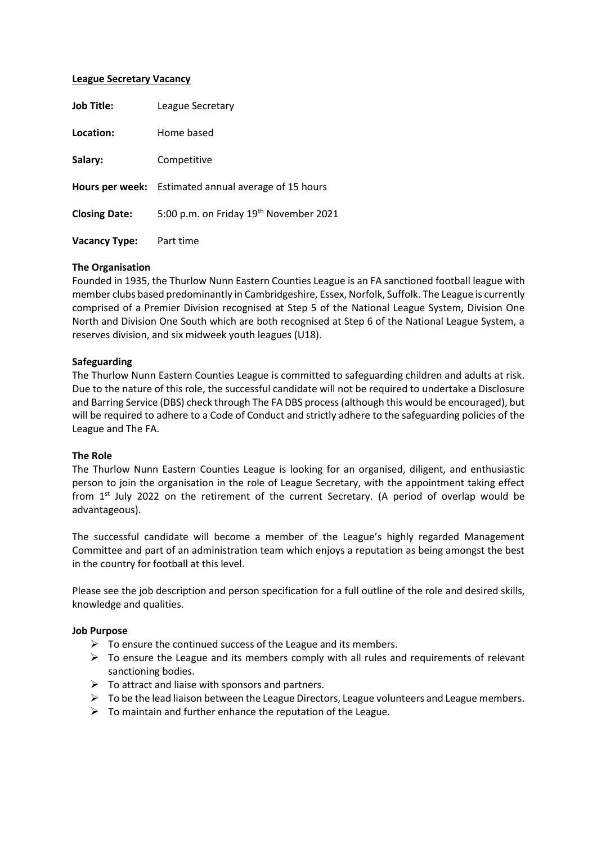#### **League Secretary Vacancy**

| <b>Job Title:</b>    | League Secretary                                            |
|----------------------|-------------------------------------------------------------|
| Location:            | Home based                                                  |
| Salary:              | Competitive                                                 |
|                      | <b>Hours per week:</b> Estimated annual average of 15 hours |
| <b>Closing Date:</b> | 5:00 p.m. on Friday 19th November 2021                      |
| <b>Vacancy Type:</b> | Part time                                                   |

#### **The Organisation**

Founded in 1935, the Thurlow Nunn Eastern Counties League is an FA sanctioned football league with member clubs based predominantly in Cambridgeshire, Essex, Norfolk, Suffolk. The League is currently comprised of a Premier Division recognised at Step 5 of the National League System, Division One North and Division One South which are both recognised at Step 6 of the National League System, a reserves division, and six midweek youth leagues (U18).

#### **Safeguarding**

The Thurlow Nunn Eastern Counties League is committed to safeguarding children and adults at risk. Due to the nature of this role, the successful candidate will not be required to undertake a Disclosure and Barring Service (DBS) check through The FA DBS process (although this would be encouraged), but will be required to adhere to a Code of Conduct and strictly adhere to the safeguarding policies of the League and The FA.

## **The Role**

The Thurlow Nunn Eastern Counties League is looking for an organised, diligent, and enthusiastic person to join the organisation in the role of League Secretary, with the appointment taking effect from 1<sup>st</sup> July 2022 on the retirement of the current Secretary. (A period of overlap would be advantageous).

The successful candidate will become a member of the League's highly regarded Management Committee and part of an administration team which enjoys a reputation as being amongst the best in the country for football at this level.

Please see the job description and person specification for a full outline of the role and desired skills, knowledge and qualities.

## **Job Purpose**

- $\triangleright$  To ensure the continued success of the League and its members.
- $\triangleright$  To ensure the League and its members comply with all rules and requirements of relevant sanctioning bodies.
- $\triangleright$  To attract and liaise with sponsors and partners.
- $\triangleright$  To be the lead liaison between the League Directors, League volunteers and League members.
- $\triangleright$  To maintain and further enhance the reputation of the League.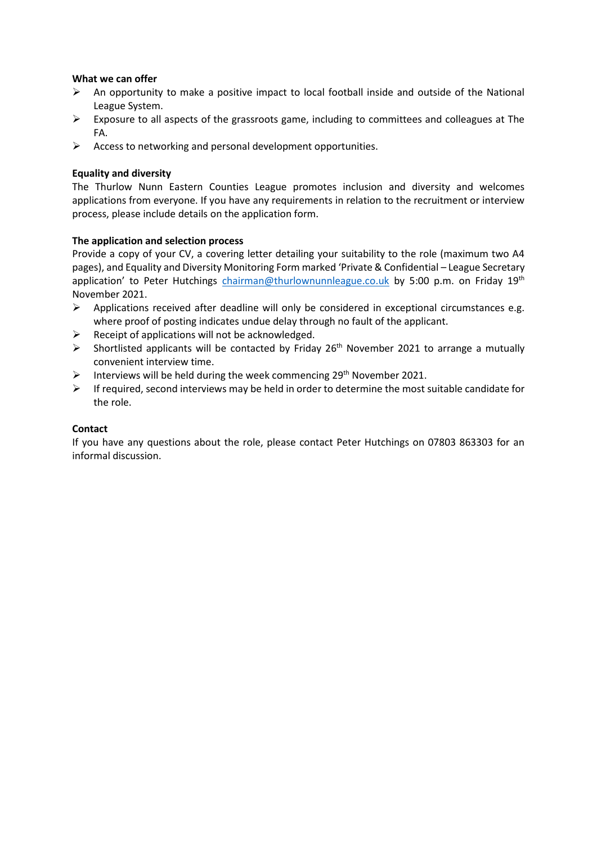## **What we can offer**

- ➢ An opportunity to make a positive impact to local football inside and outside of the National League System.
- $\triangleright$  Exposure to all aspects of the grassroots game, including to committees and colleagues at The FA.
- $\triangleright$  Access to networking and personal development opportunities.

## **Equality and diversity**

The Thurlow Nunn Eastern Counties League promotes inclusion and diversity and welcomes applications from everyone. If you have any requirements in relation to the recruitment or interview process, please include details on the application form.

# **The application and selection process**

Provide a copy of your CV, a covering letter detailing your suitability to the role (maximum two A4 pages), and Equality and Diversity Monitoring Form marked 'Private & Confidential – League Secretary application' to Peter Hutchings [chairman@thurlownunnleague.co.uk](mailto:chairman@thurlownunnleague.co.uk) by 5:00 p.m. on Friday 19th November 2021.

- $\triangleright$  Applications received after deadline will only be considered in exceptional circumstances e.g. where proof of posting indicates undue delay through no fault of the applicant.
- $\triangleright$  Receipt of applications will not be acknowledged.
- $\triangleright$  Shortlisted applicants will be contacted by Friday 26<sup>th</sup> November 2021 to arrange a mutually convenient interview time.
- > Interviews will be held during the week commencing 29<sup>th</sup> November 2021.
- ➢ If required, second interviews may be held in order to determine the most suitable candidate for the role.

## **Contact**

If you have any questions about the role, please contact Peter Hutchings on 07803 863303 for an informal discussion.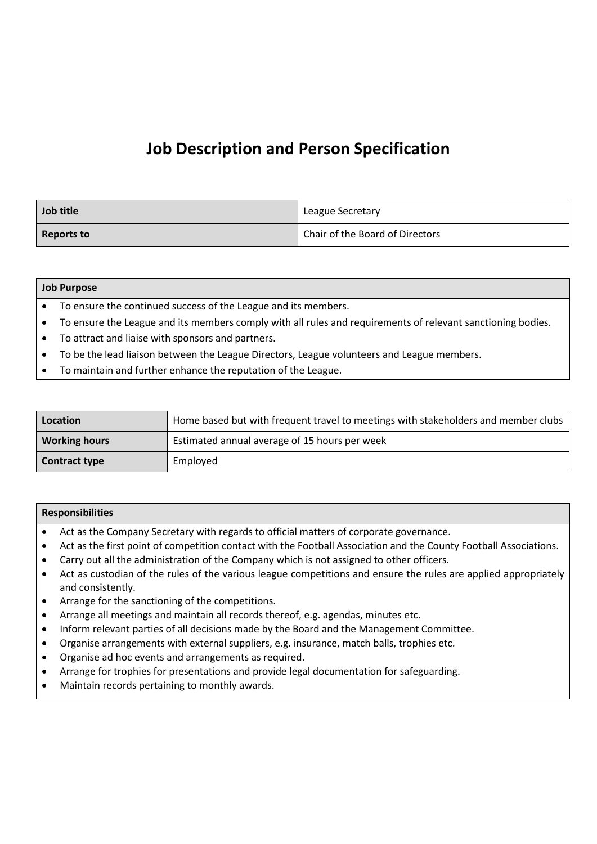# **Job Description and Person Specification**

| Job title  | League Secretary                |
|------------|---------------------------------|
| Reports to | Chair of the Board of Directors |

#### **Job Purpose**

• To ensure the continued success of the League and its members.

- To ensure the League and its members comply with all rules and requirements of relevant sanctioning bodies.
- To attract and liaise with sponsors and partners.
- To be the lead liaison between the League Directors, League volunteers and League members.
- To maintain and further enhance the reputation of the League.

| Location             | Home based but with frequent travel to meetings with stakeholders and member clubs |
|----------------------|------------------------------------------------------------------------------------|
| <b>Working hours</b> | Estimated annual average of 15 hours per week                                      |
| <b>Contract type</b> | Employed                                                                           |

#### **Responsibilities**

- Act as the Company Secretary with regards to official matters of corporate governance.
- Act as the first point of competition contact with the Football Association and the County Football Associations.
- Carry out all the administration of the Company which is not assigned to other officers.
- Act as custodian of the rules of the various league competitions and ensure the rules are applied appropriately and consistently.
- Arrange for the sanctioning of the competitions.
- Arrange all meetings and maintain all records thereof, e.g. agendas, minutes etc.
- Inform relevant parties of all decisions made by the Board and the Management Committee.
- Organise arrangements with external suppliers, e.g. insurance, match balls, trophies etc.
- Organise ad hoc events and arrangements as required.
- Arrange for trophies for presentations and provide legal documentation for safeguarding.
- Maintain records pertaining to monthly awards.